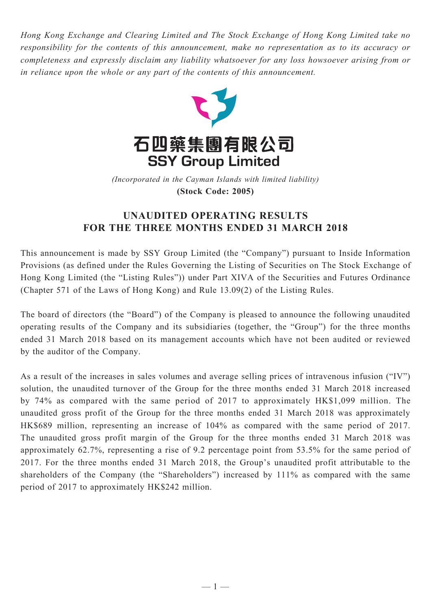*Hong Kong Exchange and Clearing Limited and The Stock Exchange of Hong Kong Limited take no responsibility for the contents of this announcement, make no representation as to its accuracy or completeness and expressly disclaim any liability whatsoever for any loss howsoever arising from or in reliance upon the whole or any part of the contents of this announcement.*



(Incorporated in the Cayman Islands with limited liability) **(Stock Code: 2005)** *(Incorporated in the Cayman Islands with limited liability)* **(Stock Code: 2005)**

## **UNAUDITED OPERATING RESULTS FOR THE THREE MONTHS ENDED 31 MARCH 2018**

This announcement is made by SSY Group Limited (the "Company") pursuant to Inside Information Provisions (as defined under the Rules Governing the Listing of Securities on The Stock Exchange of Hong Kong Limited (the "Listing Rules")) under Part XIVA of the Securities and Futures Ordinance (Chapter 571 of the Laws of Hong Kong) and Rule 13.09(2) of the Listing Rules.

The board of directors (the "Board") of the Company is pleased to announce the following unaudited operating results of the Company and its subsidiaries (together, the "Group") for the three months ended 31 March 2018 based on its management accounts which have not been audited or reviewed by the auditor of the Company.

As a result of the increases in sales volumes and average selling prices of intravenous infusion ("IV") solution, the unaudited turnover of the Group for the three months ended 31 March 2018 increased by 74% as compared with the same period of 2017 to approximately HK\$1,099 million. The unaudited gross profit of the Group for the three months ended 31 March 2018 was approximately HK\$689 million, representing an increase of 104% as compared with the same period of 2017. The unaudited gross profit margin of the Group for the three months ended 31 March 2018 was approximately 62.7%, representing a rise of 9.2 percentage point from 53.5% for the same period of 2017. For the three months ended 31 March 2018, the Group's unaudited profit attributable to the shareholders of the Company (the "Shareholders") increased by 111% as compared with the same period of 2017 to approximately HK\$242 million.